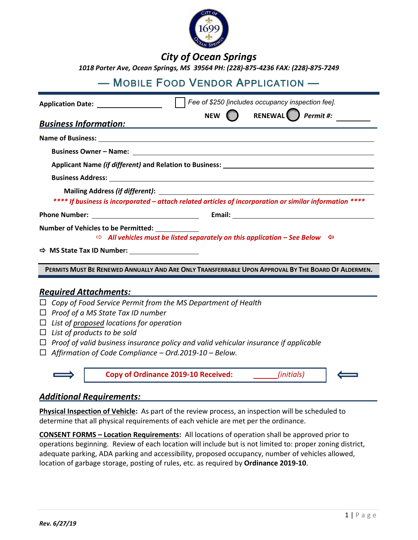

# *City of Ocean Springs*

*1018 Porter Ave, Ocean Springs, MS 39564 PH: (228)-875-4236 FAX: (228)-875-7249* 

# — MOBILE FOOD VENDOR APPLICATION —

| Application Date: 1986                                                                                  |  | Fee of \$250 [includes occupancy inspection fee]. |  |  |
|---------------------------------------------------------------------------------------------------------|--|---------------------------------------------------|--|--|
|                                                                                                         |  | NEW $\bigcap$ RENEWAL <i>Permit #:</i>            |  |  |
| <b>Business Information:</b>                                                                            |  |                                                   |  |  |
|                                                                                                         |  |                                                   |  |  |
|                                                                                                         |  |                                                   |  |  |
|                                                                                                         |  |                                                   |  |  |
|                                                                                                         |  |                                                   |  |  |
|                                                                                                         |  |                                                   |  |  |
| **** If business is incorporated – attach related articles of incorporation or similar information **** |  |                                                   |  |  |
|                                                                                                         |  | Email: <u>Alexander School (Alexander School)</u> |  |  |
| Number of Vehicles to be Permitted: ___________                                                         |  |                                                   |  |  |
| $\Rightarrow$ All vehicles must be listed separately on this application – See Below $\Leftrightarrow$  |  |                                                   |  |  |
| $\Rightarrow$ MS State Tax ID Number:                                                                   |  |                                                   |  |  |
| PERMITS MUST BE RENEWED ANNUALLY AND ARE ONLY TRANSFERRABLE UPON APPROVAL BY THE BOARD OF ALDERMEN.     |  |                                                   |  |  |
|                                                                                                         |  |                                                   |  |  |
| <b>Required Attachments:</b>                                                                            |  |                                                   |  |  |
| Copy of Food Service Permit from the MS Department of Health<br>$\Box$                                  |  |                                                   |  |  |
| $\Box$ Proof of a MS State Tax ID number                                                                |  |                                                   |  |  |
| $\Box$ List of proposed locations for operation                                                         |  |                                                   |  |  |
| $\Box$ List of products to be sold                                                                      |  |                                                   |  |  |
| $\Box$ Proof of valid business insurance policy and valid vehicular insurance if applicable             |  |                                                   |  |  |
| $\Box$ Affirmation of Code Compliance – Ord.2019-10 – Below.                                            |  |                                                   |  |  |



# *Additional Requirements:*

**Physical Inspection of Vehicle:** As part of the review process, an inspection will be scheduled to determine that all physical requirements of each vehicle are met per the ordinance.

**CONSENT FORMS – Location Requirements:** All locations of operation shall be approved prior to operations beginning. Review of each location will include but is not limited to: proper zoning district, adequate parking, ADA parking and accessibility, proposed occupancy, number of vehicles allowed, location of garbage storage, posting of rules, etc. as required by **Ordinance 2019-10**.